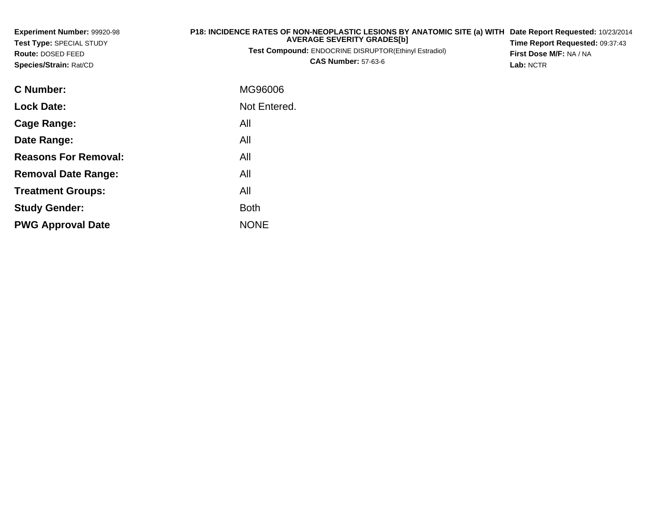| Experiment Number: 99920-98<br>Test Type: SPECIAL STUDY | P18: INCIDENCE RATES OF NON-NEOPLASTIC LESIONS BY ANATOMIC SITE (a) WITH<br><b>AVERAGE SEVERITY GRADES[b]</b> | Date Report Requested: 10/23/2014<br>Time Report Requested: 09:37:43 |
|---------------------------------------------------------|---------------------------------------------------------------------------------------------------------------|----------------------------------------------------------------------|
| Route: DOSED FEED<br>Species/Strain: Rat/CD             | Test Compound: ENDOCRINE DISRUPTOR(Ethinyl Estradiol)<br><b>CAS Number: 57-63-6</b>                           | First Dose M/F: NA / NA<br>Lab: NCTR                                 |
| <b>C</b> Number:                                        | MG96006                                                                                                       |                                                                      |
| <b>Lock Date:</b>                                       | Not Entered.                                                                                                  |                                                                      |
| Cage Range:                                             | All                                                                                                           |                                                                      |
| Date Range:                                             | All                                                                                                           |                                                                      |
| <b>Reasons For Removal:</b>                             | All                                                                                                           |                                                                      |
| <b>Removal Date Range:</b>                              | All                                                                                                           |                                                                      |
| <b>Treatment Groups:</b>                                | All                                                                                                           |                                                                      |

Both

e NONE

**Study Gender:**

**PWG Approval Date**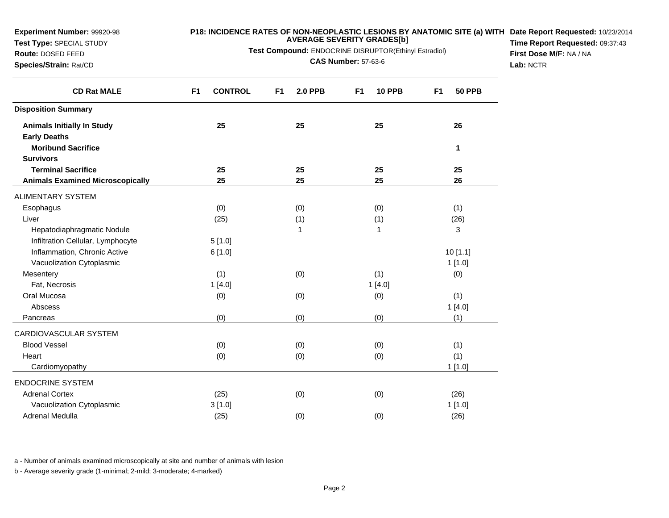**Test Type:** SPECIAL STUDY

#### **P18: INCIDENCE RATES OF NON-NEOPLASTIC LESIONS BY ANATOMIC SITE (a) WITH AVERAGE SEVERITY GRADES[b] Date Report Requested:** 10/23/2014

**Test Compound:** ENDOCRINE DISRUPTOR(Ethinyl Estradiol)

**Route:** DOSED FEED**Species/Strain:** Rat/CD

**CAS Number:** 57-63-6

**Time Report Requested:** 09:37:43**First Dose M/F:** NA / NA**Lab:** NCTR

| <b>CD Rat MALE</b>                      | <b>CONTROL</b><br>F <sub>1</sub> | F <sub>1</sub><br><b>2.0 PPB</b> | <b>10 PPB</b><br>F <sub>1</sub> | F1<br><b>50 PPB</b> |
|-----------------------------------------|----------------------------------|----------------------------------|---------------------------------|---------------------|
| <b>Disposition Summary</b>              |                                  |                                  |                                 |                     |
| <b>Animals Initially In Study</b>       | 25                               | 25                               | 25                              | 26                  |
| <b>Early Deaths</b>                     |                                  |                                  |                                 |                     |
| <b>Moribund Sacrifice</b>               |                                  |                                  |                                 | 1                   |
| <b>Survivors</b>                        |                                  |                                  |                                 |                     |
| <b>Terminal Sacrifice</b>               | 25                               | 25                               | 25                              | 25                  |
| <b>Animals Examined Microscopically</b> | 25                               | 25                               | 25                              | 26                  |
| <b>ALIMENTARY SYSTEM</b>                |                                  |                                  |                                 |                     |
| Esophagus                               | (0)                              | (0)                              | (0)                             | (1)                 |
| Liver                                   | (25)                             | (1)                              | (1)                             | (26)                |
| Hepatodiaphragmatic Nodule              |                                  | 1                                | 1                               | 3                   |
| Infiltration Cellular, Lymphocyte       | 5[1.0]                           |                                  |                                 |                     |
| Inflammation, Chronic Active            | 6[1.0]                           |                                  |                                 | 10[1.1]             |
| Vacuolization Cytoplasmic               |                                  |                                  |                                 | 1[1.0]              |
| Mesentery                               | (1)                              | (0)                              | (1)                             | (0)                 |
| Fat, Necrosis                           | 1[4.0]                           |                                  | 1[4.0]                          |                     |
| Oral Mucosa                             | (0)                              | (0)                              | (0)                             | (1)                 |
| Abscess                                 |                                  |                                  |                                 | 1[4.0]              |
| Pancreas                                | (0)                              | (0)                              | (0)                             | (1)                 |
| CARDIOVASCULAR SYSTEM                   |                                  |                                  |                                 |                     |
| <b>Blood Vessel</b>                     | (0)                              | (0)                              | (0)                             | (1)                 |
| Heart                                   | (0)                              | (0)                              | (0)                             | (1)                 |
| Cardiomyopathy                          |                                  |                                  |                                 | 1[1.0]              |
| <b>ENDOCRINE SYSTEM</b>                 |                                  |                                  |                                 |                     |
| <b>Adrenal Cortex</b>                   | (25)                             | (0)                              | (0)                             | (26)                |
| Vacuolization Cytoplasmic               | 3[1.0]                           |                                  |                                 | 1 [1.0]             |
| <b>Adrenal Medulla</b>                  | (25)                             | (0)                              | (0)                             | (26)                |

a - Number of animals examined microscopically at site and number of animals with lesion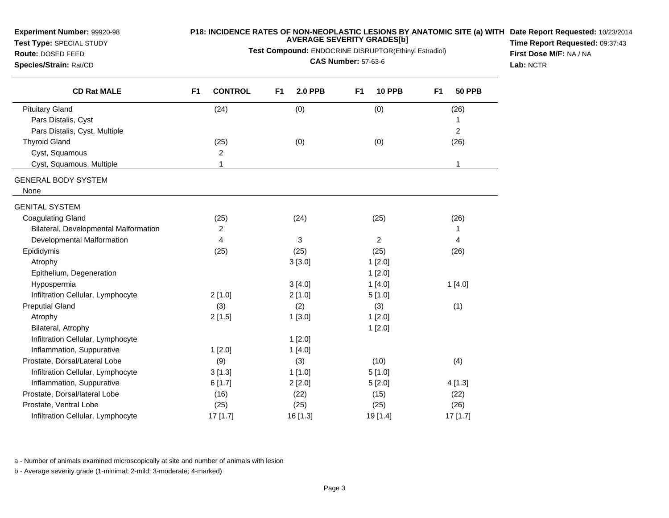**Test Type:** SPECIAL STUDY**Route:** DOSED FEED

# **P18: INCIDENCE RATES OF NON-NEOPLASTIC LESIONS BY ANATOMIC SITE (a) WITH AVERAGE SEVERITY GRADES[b]**

**Test Compound:** ENDOCRINE DISRUPTOR(Ethinyl Estradiol)

**Species/Strain:** Rat/CD

**CAS Number:** 57-63-6

**Date Report Requested:** 10/23/2014 **Time Report Requested:** 09:37:43**First Dose M/F:** NA / NA**Lab:** NCTR

| <b>CD Rat MALE</b>                    | <b>CONTROL</b><br>F <sub>1</sub> | F <sub>1</sub><br><b>2.0 PPB</b> | <b>10 PPB</b><br>F <sub>1</sub> | <b>50 PPB</b><br>F <sub>1</sub> |
|---------------------------------------|----------------------------------|----------------------------------|---------------------------------|---------------------------------|
| <b>Pituitary Gland</b>                | (24)                             | (0)                              | (0)                             | (26)                            |
| Pars Distalis, Cyst                   |                                  |                                  |                                 | 1                               |
| Pars Distalis, Cyst, Multiple         |                                  |                                  |                                 | $\overline{2}$                  |
| <b>Thyroid Gland</b>                  | (25)                             | (0)                              | (0)                             | (26)                            |
| Cyst, Squamous                        | 2                                |                                  |                                 |                                 |
| Cyst, Squamous, Multiple              | 1                                |                                  |                                 | 1                               |
| <b>GENERAL BODY SYSTEM</b>            |                                  |                                  |                                 |                                 |
| None                                  |                                  |                                  |                                 |                                 |
| <b>GENITAL SYSTEM</b>                 |                                  |                                  |                                 |                                 |
| <b>Coagulating Gland</b>              | (25)                             | (24)                             | (25)                            | (26)                            |
| Bilateral, Developmental Malformation | $\overline{2}$                   |                                  |                                 | 1                               |
| Developmental Malformation            | 4                                | 3                                | $\overline{c}$                  | 4                               |
| Epididymis                            | (25)                             | (25)                             | (25)                            | (26)                            |
| Atrophy                               |                                  | 3[3.0]                           | 1[2.0]                          |                                 |
| Epithelium, Degeneration              |                                  |                                  | 1[2.0]                          |                                 |
| Hypospermia                           |                                  | 3[4.0]                           | 1[4.0]                          | 1[4.0]                          |
| Infiltration Cellular, Lymphocyte     | 2[1.0]                           | 2[1.0]                           | 5[1.0]                          |                                 |
| <b>Preputial Gland</b>                | (3)                              | (2)                              | (3)                             | (1)                             |
| Atrophy                               | 2[1.5]                           | 1[3.0]                           | 1[2.0]                          |                                 |
| Bilateral, Atrophy                    |                                  |                                  | 1[2.0]                          |                                 |
| Infiltration Cellular, Lymphocyte     |                                  | 1[2.0]                           |                                 |                                 |
| Inflammation, Suppurative             | 1[2.0]                           | 1[4.0]                           |                                 |                                 |
| Prostate, Dorsal/Lateral Lobe         | (9)                              | (3)                              | (10)                            | (4)                             |
| Infiltration Cellular, Lymphocyte     | 3[1.3]                           | 1[1.0]                           | 5[1.0]                          |                                 |
| Inflammation, Suppurative             | 6[1.7]                           | 2[2.0]                           | 5[2.0]                          | 4[1.3]                          |
| Prostate, Dorsal/lateral Lobe         | (16)                             | (22)                             | (15)                            | (22)                            |
| Prostate, Ventral Lobe                | (25)                             | (25)                             | (25)                            | (26)                            |
| Infiltration Cellular, Lymphocyte     | 17 [1.7]                         | 16 [1.3]                         | 19 [1.4]                        | 17 [1.7]                        |

a - Number of animals examined microscopically at site and number of animals with lesion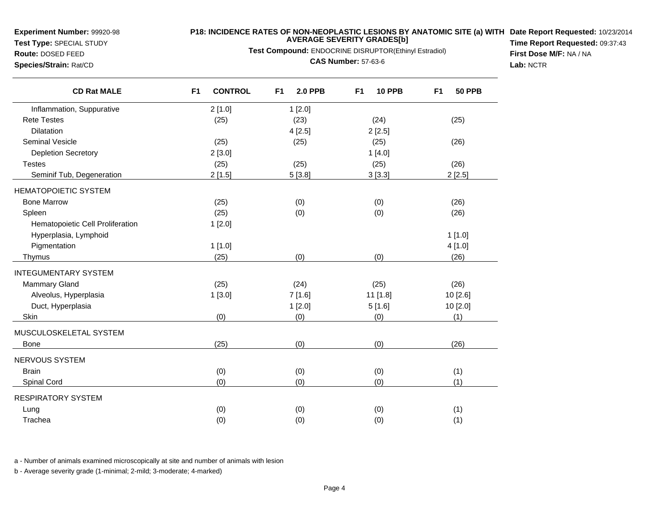**Test Type:** SPECIAL STUDY

## **P18: INCIDENCE RATES OF NON-NEOPLASTIC LESIONS BY ANATOMIC SITE (a) WITH AVERAGE SEVERITY GRADES[b] Date Report Requested:** 10/23/2014

**Test Compound:** ENDOCRINE DISRUPTOR(Ethinyl Estradiol)

**Route:** DOSED FEED**Species/Strain:** Rat/CD

**CAS Number:** 57-63-6

**Time Report Requested:** 09:37:43**First Dose M/F:** NA / NA**Lab:** NCTR

| <b>CD Rat MALE</b>               | F <sub>1</sub><br><b>CONTROL</b> | F <sub>1</sub><br><b>2.0 PPB</b> | <b>10 PPB</b><br>F <sub>1</sub> | <b>50 PPB</b><br>F <sub>1</sub> |
|----------------------------------|----------------------------------|----------------------------------|---------------------------------|---------------------------------|
| Inflammation, Suppurative        | 2[1.0]                           | 1[2.0]                           |                                 |                                 |
| <b>Rete Testes</b>               | (25)                             | (23)                             | (24)                            | (25)                            |
| Dilatation                       |                                  | 4[2.5]                           | 2[2.5]                          |                                 |
| <b>Seminal Vesicle</b>           | (25)                             | (25)                             | (25)                            | (26)                            |
| <b>Depletion Secretory</b>       | 2[3.0]                           |                                  | 1[4.0]                          |                                 |
| <b>Testes</b>                    | (25)                             | (25)                             | (25)                            | (26)                            |
| Seminif Tub, Degeneration        | 2[1.5]                           | 5[3.8]                           | 3[3.3]                          | 2[2.5]                          |
| <b>HEMATOPOIETIC SYSTEM</b>      |                                  |                                  |                                 |                                 |
| <b>Bone Marrow</b>               | (25)                             | (0)                              | (0)                             | (26)                            |
| Spleen                           | (25)                             | (0)                              | (0)                             | (26)                            |
| Hematopoietic Cell Proliferation | 1[2.0]                           |                                  |                                 |                                 |
| Hyperplasia, Lymphoid            |                                  |                                  |                                 | 1[1.0]                          |
| Pigmentation                     | 1[1.0]                           |                                  |                                 | 4 [1.0]                         |
| <b>Thymus</b>                    | (25)                             | (0)                              | (0)                             | (26)                            |
| <b>INTEGUMENTARY SYSTEM</b>      |                                  |                                  |                                 |                                 |
| <b>Mammary Gland</b>             | (25)                             | (24)                             | (25)                            | (26)                            |
| Alveolus, Hyperplasia            | 1[3.0]                           | 7[1.6]                           | 11 [1.8]                        | 10 [2.6]                        |
| Duct, Hyperplasia                |                                  | 1[2.0]                           | 5[1.6]                          | 10 [2.0]                        |
| Skin                             | (0)                              | (0)                              | (0)                             | (1)                             |
| MUSCULOSKELETAL SYSTEM           |                                  |                                  |                                 |                                 |
| Bone                             | (25)                             | (0)                              | (0)                             | (26)                            |
| NERVOUS SYSTEM                   |                                  |                                  |                                 |                                 |
| <b>Brain</b>                     | (0)                              | (0)                              | (0)                             | (1)                             |
| Spinal Cord                      | (0)                              | (0)                              | (0)                             | (1)                             |
| <b>RESPIRATORY SYSTEM</b>        |                                  |                                  |                                 |                                 |
| Lung                             | (0)                              | (0)                              | (0)                             | (1)                             |
| Trachea                          | (0)                              | (0)                              | (0)                             | (1)                             |

a - Number of animals examined microscopically at site and number of animals with lesion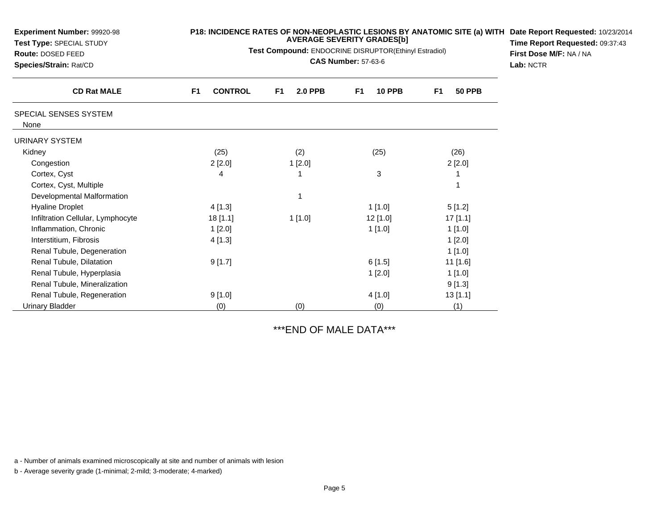| <b>Experiment Number: 99920-98</b><br>Test Type: SPECIAL STUDY<br><b>Route: DOSED FEED</b><br>Species/Strain: Rat/CD | P18: INCIDENCE RATES OF NON-NEOPLASTIC LESIONS BY ANATOMIC SITE (a) WITH Date Report Requested: 10/23/201<br><b>AVERAGE SEVERITY GRADES[b]</b><br>Test Compound: ENDOCRINE DISRUPTOR(Ethinyl Estradiol)<br><b>CAS Number: 57-63-6</b> |                      |                     |                                 | Time Report Requested: 09:37:43<br>First Dose M/F: NA / NA<br>Lab: NCTR |
|----------------------------------------------------------------------------------------------------------------------|---------------------------------------------------------------------------------------------------------------------------------------------------------------------------------------------------------------------------------------|----------------------|---------------------|---------------------------------|-------------------------------------------------------------------------|
| <b>CD Rat MALE</b>                                                                                                   | <b>CONTROL</b><br>F <sub>1</sub>                                                                                                                                                                                                      | F1<br><b>2.0 PPB</b> | <b>10 PPB</b><br>F1 | <b>50 PPB</b><br>F <sub>1</sub> |                                                                         |
| SPECIAL SENSES SYSTEM<br>None                                                                                        |                                                                                                                                                                                                                                       |                      |                     |                                 |                                                                         |
| URINARY SYSTEM                                                                                                       |                                                                                                                                                                                                                                       |                      |                     |                                 |                                                                         |
| Kidney                                                                                                               | (25)                                                                                                                                                                                                                                  | (2)                  | (25)                | (26)                            |                                                                         |
| Congestion                                                                                                           | 2[2.0]                                                                                                                                                                                                                                | 1[2.0]               |                     | 2[2.0]                          |                                                                         |
| Cortex, Cyst                                                                                                         | 4                                                                                                                                                                                                                                     |                      | 3                   |                                 |                                                                         |
| Cortex, Cyst, Multiple                                                                                               |                                                                                                                                                                                                                                       |                      |                     |                                 |                                                                         |
| Developmental Malformation                                                                                           |                                                                                                                                                                                                                                       |                      |                     |                                 |                                                                         |
| <b>Hyaline Droplet</b>                                                                                               | 4 [1.3]                                                                                                                                                                                                                               |                      | 1[1.0]              | 5[1.2]                          |                                                                         |
| Infiltration Cellular, Lymphocyte                                                                                    | 18 [1.1]                                                                                                                                                                                                                              | 1[1.0]               | 12 [1.0]            | $17$ [1.1]                      |                                                                         |
| Inflammation, Chronic                                                                                                | 1[2.0]                                                                                                                                                                                                                                |                      | 1[1.0]              | 1[1.0]                          |                                                                         |
| Interstitium, Fibrosis                                                                                               | 4 [1.3]                                                                                                                                                                                                                               |                      |                     | 1[2.0]                          |                                                                         |
| Renal Tubule, Degeneration                                                                                           |                                                                                                                                                                                                                                       |                      |                     | 1[1.0]                          |                                                                         |
| Renal Tubule, Dilatation                                                                                             | 9[1.7]                                                                                                                                                                                                                                |                      | 6[1.5]              | 11 [1.6]                        |                                                                         |
| Renal Tubule, Hyperplasia                                                                                            |                                                                                                                                                                                                                                       |                      | 1[2.0]              | 1[1.0]                          |                                                                         |
| Renal Tubule, Mineralization                                                                                         |                                                                                                                                                                                                                                       |                      |                     | 9[1.3]                          |                                                                         |
| Renal Tubule, Regeneration                                                                                           | 9[1.0]                                                                                                                                                                                                                                |                      | 4 [1.0]             | 13[1.1]                         |                                                                         |
| Urinary Bladder                                                                                                      | (0)                                                                                                                                                                                                                                   | (0)                  | (0)                 | (1)                             |                                                                         |

# \*\*\*END OF MALE DATA\*\*\*

a - Number of animals examined microscopically at site and number of animals with lesion

b - Average severity grade (1-minimal; 2-mild; 3-moderate; 4-marked)

**Experiment Number:** 99920-98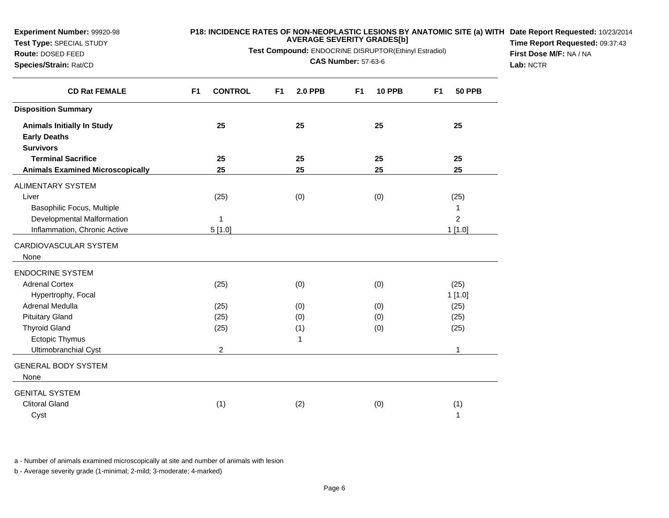**Test Type:** SPECIAL STUDY

#### **P18: INCIDENCE RATES OF NON-NEOPLASTIC LESIONS BY ANATOMIC SITE (a) WITH AVERAGE SEVERITY GRADES[b] Date Report Requested:** 10/23/2014

**Test Compound:** ENDOCRINE DISRUPTOR(Ethinyl Estradiol)

**Route:** DOSED FEED**Species/Strain:** Rat/CD

**CAS Number:** 57-63-6

**Time Report Requested:** 09:37:43**First Dose M/F:** NA / NA**Lab:** NCTR

| <b>CD Rat FEMALE</b>                    | <b>CONTROL</b><br>F <sub>1</sub> | F <sub>1</sub><br><b>2.0 PPB</b> | <b>10 PPB</b><br>F <sub>1</sub> | <b>50 PPB</b><br>F <sub>1</sub> |
|-----------------------------------------|----------------------------------|----------------------------------|---------------------------------|---------------------------------|
| <b>Disposition Summary</b>              |                                  |                                  |                                 |                                 |
| <b>Animals Initially In Study</b>       | 25                               | 25                               | 25                              | 25                              |
| <b>Early Deaths</b>                     |                                  |                                  |                                 |                                 |
| <b>Survivors</b>                        |                                  |                                  |                                 |                                 |
| <b>Terminal Sacrifice</b>               | 25                               | 25                               | 25                              | 25                              |
| <b>Animals Examined Microscopically</b> | 25                               | 25                               | 25                              | 25                              |
| <b>ALIMENTARY SYSTEM</b>                |                                  |                                  |                                 |                                 |
| Liver                                   | (25)                             | (0)                              | (0)                             | (25)                            |
| Basophilic Focus, Multiple              |                                  |                                  |                                 | 1                               |
| Developmental Malformation              | 1                                |                                  |                                 | $\overline{c}$                  |
| Inflammation, Chronic Active            | 5[1.0]                           |                                  |                                 | 1[1.0]                          |
| CARDIOVASCULAR SYSTEM                   |                                  |                                  |                                 |                                 |
| None                                    |                                  |                                  |                                 |                                 |
| <b>ENDOCRINE SYSTEM</b>                 |                                  |                                  |                                 |                                 |
| <b>Adrenal Cortex</b>                   | (25)                             | (0)                              | (0)                             | (25)                            |
| Hypertrophy, Focal                      |                                  |                                  |                                 | 1[1.0]                          |
| <b>Adrenal Medulla</b>                  | (25)                             | (0)                              | (0)                             | (25)                            |
| <b>Pituitary Gland</b>                  | (25)                             | (0)                              | (0)                             | (25)                            |
| <b>Thyroid Gland</b>                    | (25)                             | (1)                              | (0)                             | (25)                            |
| Ectopic Thymus                          |                                  | 1                                |                                 |                                 |
| Ultimobranchial Cyst                    | $\overline{c}$                   |                                  |                                 | 1                               |
| <b>GENERAL BODY SYSTEM</b>              |                                  |                                  |                                 |                                 |
| None                                    |                                  |                                  |                                 |                                 |
| <b>GENITAL SYSTEM</b>                   |                                  |                                  |                                 |                                 |
| <b>Clitoral Gland</b>                   | (1)                              | (2)                              | (0)                             | (1)                             |
| Cyst                                    |                                  |                                  |                                 | 1                               |

a - Number of animals examined microscopically at site and number of animals with lesion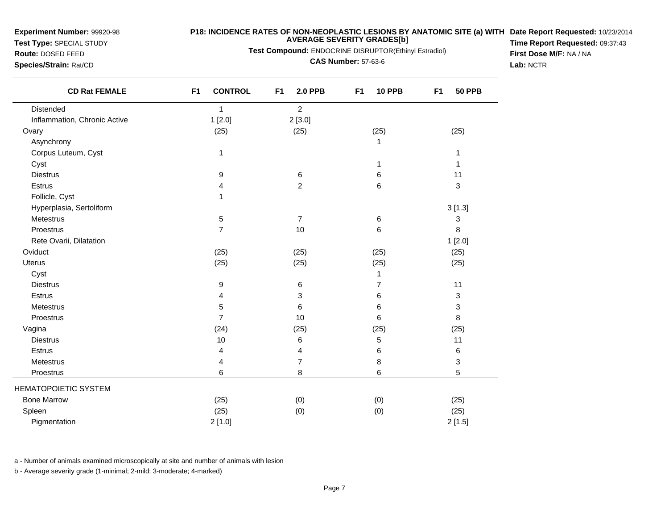**Test Type:** SPECIAL STUDY

**Route:** DOSED FEED**Species/Strain:** Rat/CD

### **P18: INCIDENCE RATES OF NON-NEOPLASTIC LESIONS BY ANATOMIC SITE (a) WITH AVERAGE SEVERITY GRADES[b] Date Report Requested:** 10/23/2014

**Test Compound:** ENDOCRINE DISRUPTOR(Ethinyl Estradiol)

**CAS Number:** 57-63-6

**Time Report Requested:** 09:37:43**First Dose M/F:** NA / NA**Lab:** NCTR

| <b>CD Rat FEMALE</b>         | F <sub>1</sub><br><b>CONTROL</b> | F <sub>1</sub><br><b>2.0 PPB</b> | F <sub>1</sub><br><b>10 PPB</b> | F <sub>1</sub><br><b>50 PPB</b> |
|------------------------------|----------------------------------|----------------------------------|---------------------------------|---------------------------------|
| Distended                    | 1                                | $\overline{a}$                   |                                 |                                 |
| Inflammation, Chronic Active | 1[2.0]                           | 2[3.0]                           |                                 |                                 |
| Ovary                        | (25)                             | (25)                             | (25)                            | (25)                            |
| Asynchrony                   |                                  |                                  | 1                               |                                 |
| Corpus Luteum, Cyst          | 1                                |                                  |                                 | 1                               |
| Cyst                         |                                  |                                  | 1                               | 1                               |
| <b>Diestrus</b>              | 9                                | 6                                | 6                               | 11                              |
| Estrus                       | 4                                | $\overline{c}$                   | 6                               | 3                               |
| Follicle, Cyst               | 1                                |                                  |                                 |                                 |
| Hyperplasia, Sertoliform     |                                  |                                  |                                 | 3[1.3]                          |
| <b>Metestrus</b>             | 5                                | 7                                | 6                               | 3                               |
| Proestrus                    | $\overline{7}$                   | 10                               | 6                               | 8                               |
| Rete Ovarii, Dilatation      |                                  |                                  |                                 | 1[2.0]                          |
| Oviduct                      | (25)                             | (25)                             | (25)                            | (25)                            |
| Uterus                       | (25)                             | (25)                             | (25)                            | (25)                            |
| Cyst                         |                                  |                                  | 1                               |                                 |
| <b>Diestrus</b>              | 9                                | 6                                | 7                               | 11                              |
| Estrus                       | 4                                | 3                                | 6                               | 3                               |
| Metestrus                    | 5                                | 6                                | 6                               | 3                               |
| Proestrus                    | $\overline{7}$                   | 10                               | 6                               | 8                               |
| Vagina                       | (24)                             | (25)                             | (25)                            | (25)                            |
| <b>Diestrus</b>              | 10                               | 6                                | 5                               | 11                              |
| Estrus                       | 4                                | 4                                | 6                               | $\,6$                           |
| Metestrus                    | 4                                | 7                                | 8                               | 3                               |
| Proestrus                    | 6                                | 8                                | 6                               | 5                               |
| <b>HEMATOPOIETIC SYSTEM</b>  |                                  |                                  |                                 |                                 |
| <b>Bone Marrow</b>           | (25)                             | (0)                              | (0)                             | (25)                            |
| Spleen                       | (25)                             | (0)                              | (0)                             | (25)                            |
| Pigmentation                 | 2[1.0]                           |                                  |                                 | 2[1.5]                          |

a - Number of animals examined microscopically at site and number of animals with lesion